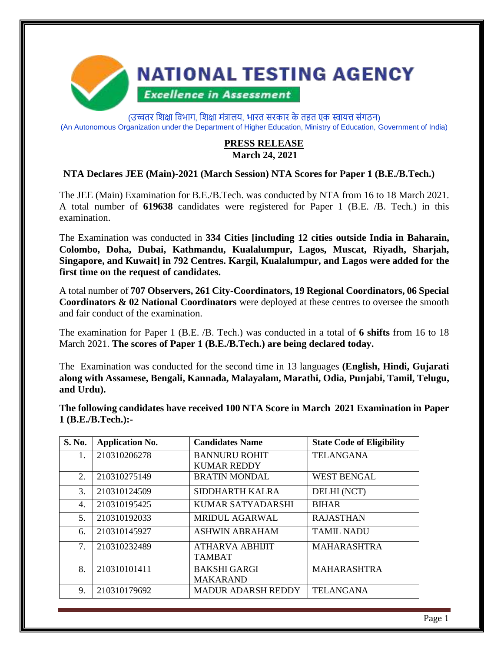

(उच्चतर शिक्षा विभाग, शिक्षा मंत्रालय, भारत सरकार के तहत एक स्वायत्त संगठन) (An Autonomous Organization under the Department of Higher Education, Ministry of Education, Government of India)

#### **PRESS RELEASE March 24, 2021**

#### **NTA Declares JEE (Main)-2021 (March Session) NTA Scores for Paper 1 (B.E./B.Tech.)**

The JEE (Main) Examination for B.E./B.Tech. was conducted by NTA from 16 to 18 March 2021. A total number of **619638** candidates were registered for Paper 1 (B.E. /B. Tech.) in this examination.

The Examination was conducted in **334 Cities [including 12 cities outside India in Baharain, Colombo, Doha, Dubai, Kathmandu, Kualalumpur, Lagos, Muscat, Riyadh, Sharjah, Singapore, and Kuwait] in 792 Centres. Kargil, Kualalumpur, and Lagos were added for the first time on the request of candidates.**

A total number of **707 Observers, 261 City-Coordinators, 19 Regional Coordinators, 06 Special Coordinators & 02 National Coordinators** were deployed at these centres to oversee the smooth and fair conduct of the examination.

The examination for Paper 1 (B.E. /B. Tech.) was conducted in a total of **6 shifts** from 16 to 18 March 2021. **The scores of Paper 1 (B.E./B.Tech.) are being declared today.**

The Examination was conducted for the second time in 13 languages **(English, Hindi, Gujarati along with Assamese, Bengali, Kannada, Malayalam, Marathi, Odia, Punjabi, Tamil, Telugu, and Urdu).**

**The following candidates have received 100 NTA Score in March 2021 Examination in Paper 1 (B.E./B.Tech.):-**

| S. No. | <b>Application No.</b> | <b>Candidates Name</b>    | <b>State Code of Eligibility</b> |
|--------|------------------------|---------------------------|----------------------------------|
| 1.     | 210310206278           | <b>BANNURU ROHIT</b>      | <b>TELANGANA</b>                 |
|        |                        | <b>KUMAR REDDY</b>        |                                  |
| 2.     | 210310275149           | <b>BRATIN MONDAL</b>      | <b>WEST BENGAL</b>               |
| 3.     | 210310124509           | SIDDHARTH KALRA           | DELHI (NCT)                      |
| 4.     | 210310195425           | KUMAR SATYADARSHI         | <b>BIHAR</b>                     |
| 5.     | 210310192033           | <b>MRIDUL AGARWAL</b>     | <b>RAJASTHAN</b>                 |
| 6.     | 210310145927           | <b>ASHWIN ABRAHAM</b>     | <b>TAMIL NADU</b>                |
| 7.     | 210310232489           | ATHARVA ABHIJIT           | <b>MAHARASHTRA</b>               |
|        |                        | <b>TAMBAT</b>             |                                  |
| 8.     | 210310101411           | <b>BAKSHI GARGI</b>       | <b>MAHARASHTRA</b>               |
|        |                        | <b>MAKARAND</b>           |                                  |
| 9.     | 210310179692           | <b>MADUR ADARSH REDDY</b> | <b>TELANGANA</b>                 |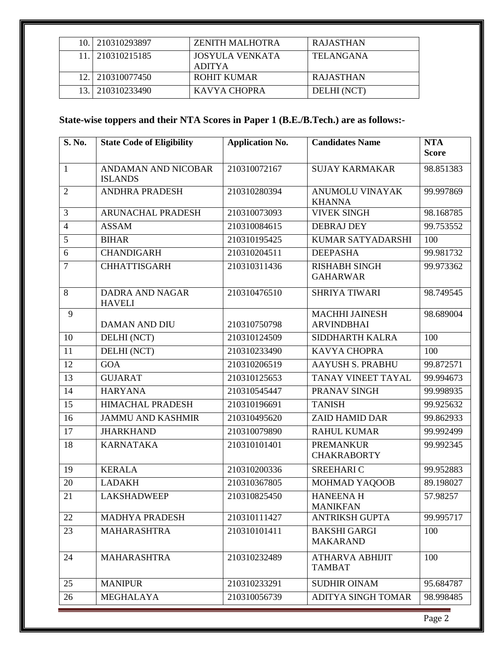|                 | 10. 210310293897 | <b>ZENITH MALHOTRA</b>           | <b>RAJASTHAN</b> |
|-----------------|------------------|----------------------------------|------------------|
|                 | 210310215185     | JOSYULA VENKATA<br><b>ADITYA</b> | <b>TELANGANA</b> |
|                 | 12. 210310077450 | ROHIT KUMAR                      | <b>RAJASTHAN</b> |
| 13 <sub>1</sub> | 210310233490     | KAVYA CHOPRA                     | DELHI (NCT)      |

# **State-wise toppers and their NTA Scores in Paper 1 (B.E./B.Tech.) are as follows:-**

| S. No.         | <b>State Code of Eligibility</b>        | <b>Application No.</b> | <b>Candidates Name</b>                     | <b>NTA</b><br><b>Score</b> |
|----------------|-----------------------------------------|------------------------|--------------------------------------------|----------------------------|
| $\mathbf{1}$   | ANDAMAN AND NICOBAR<br><b>ISLANDS</b>   | 210310072167           | <b>SUJAY KARMAKAR</b>                      | 98.851383                  |
| $\overline{2}$ | <b>ANDHRA PRADESH</b>                   | 210310280394           | ANUMOLU VINAYAK<br><b>KHANNA</b>           | 99.997869                  |
| 3              | ARUNACHAL PRADESH                       | 210310073093           | <b>VIVEK SINGH</b>                         | 98.168785                  |
| $\overline{4}$ | <b>ASSAM</b>                            | 210310084615           | <b>DEBRAJ DEY</b>                          | 99.753552                  |
| 5              | <b>BIHAR</b>                            | 210310195425           | <b>KUMAR SATYADARSHI</b>                   | 100                        |
| 6              | <b>CHANDIGARH</b>                       | 210310204511           | <b>DEEPASHA</b>                            | 99.981732                  |
| $\overline{7}$ | <b>CHHATTISGARH</b>                     | 210310311436           | <b>RISHABH SINGH</b><br><b>GAHARWAR</b>    | 99.973362                  |
| 8              | <b>DADRA AND NAGAR</b><br><b>HAVELI</b> | 210310476510           | <b>SHRIYA TIWARI</b>                       | 98.749545                  |
| 9              | <b>DAMAN AND DIU</b>                    | 210310750798           | <b>MACHHI JAINESH</b><br><b>ARVINDBHAI</b> | 98.689004                  |
| 10             | DELHI (NCT)                             | 210310124509           | SIDDHARTH KALRA                            | 100                        |
| 11             | DELHI (NCT)                             | 210310233490           | <b>KAVYA CHOPRA</b>                        | 100                        |
| 12             | <b>GOA</b>                              | 210310206519           | <b>AAYUSH S. PRABHU</b>                    | 99.872571                  |
| 13             | <b>GUJARAT</b>                          | 210310125653           | TANAY VINEET TAYAL                         | 99.994673                  |
| 14             | <b>HARYANA</b>                          | 210310545447           | PRANAV SINGH                               | 99.998935                  |
| 15             | <b>HIMACHAL PRADESH</b>                 | 210310196691           | <b>TANISH</b>                              | 99.925632                  |
| 16             | <b>JAMMU AND KASHMIR</b>                | 210310495620           | <b>ZAID HAMID DAR</b>                      | 99.862933                  |
| 17             | <b>JHARKHAND</b>                        | 210310079890           | <b>RAHUL KUMAR</b>                         | 99.992499                  |
| 18             | <b>KARNATAKA</b>                        | 210310101401           | <b>PREMANKUR</b><br><b>CHAKRABORTY</b>     | 99.992345                  |
| 19             | <b>KERALA</b>                           | 210310200336           | <b>SREEHARIC</b>                           | 99.952883                  |
| 20             | <b>LADAKH</b>                           | 210310367805           | MOHMAD YAQOOB                              | 89.198027                  |
| 21             | <b>LAKSHADWEEP</b>                      | 210310825450           | <b>HANEENAH</b><br><b>MANIKFAN</b>         | 57.98257                   |
| 22             | <b>MADHYA PRADESH</b>                   | 210310111427           | <b>ANTRIKSH GUPTA</b>                      | 99.995717                  |
| 23             | <b>MAHARASHTRA</b>                      | 210310101411           | <b>BAKSHI GARGI</b><br><b>MAKARAND</b>     | 100                        |
| 24             | <b>MAHARASHTRA</b>                      | 210310232489           | <b>ATHARVA ABHIJIT</b><br><b>TAMBAT</b>    | 100                        |
| 25             | <b>MANIPUR</b>                          | 210310233291           | <b>SUDHIR OINAM</b>                        | 95.684787                  |
| 26             | MEGHALAYA                               | 210310056739           | <b>ADITYA SINGH TOMAR</b>                  | 98.998485                  |

Page 2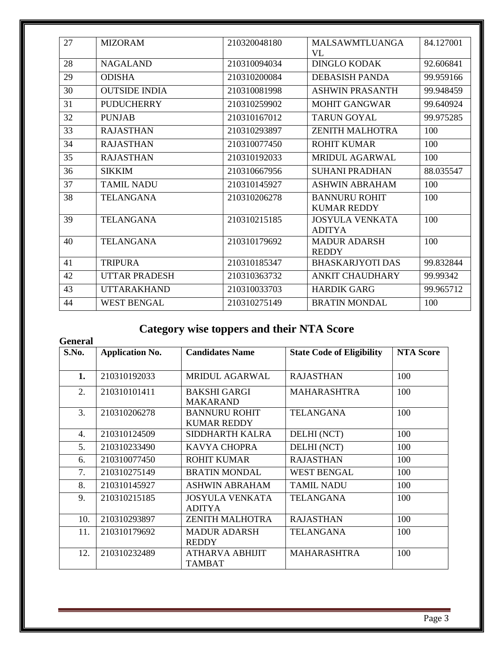| 27 | <b>MIZORAM</b>       | 210320048180 | <b>MALSAWMTLUANGA</b><br>VL                | 84.127001 |
|----|----------------------|--------------|--------------------------------------------|-----------|
| 28 | <b>NAGALAND</b>      | 210310094034 | <b>DINGLO KODAK</b>                        | 92.606841 |
| 29 | <b>ODISHA</b>        | 210310200084 | DEBASISH PANDA                             | 99.959166 |
| 30 | <b>OUTSIDE INDIA</b> | 210310081998 | <b>ASHWIN PRASANTH</b>                     | 99.948459 |
| 31 | <b>PUDUCHERRY</b>    | 210310259902 | <b>MOHIT GANGWAR</b>                       | 99.640924 |
| 32 | <b>PUNJAB</b>        | 210310167012 | <b>TARUN GOYAL</b>                         | 99.975285 |
| 33 | <b>RAJASTHAN</b>     | 210310293897 | <b>ZENITH MALHOTRA</b>                     | 100       |
| 34 | <b>RAJASTHAN</b>     | 210310077450 | ROHIT KUMAR                                | 100       |
| 35 | <b>RAJASTHAN</b>     | 210310192033 | MRIDUL AGARWAL                             | 100       |
| 36 | <b>SIKKIM</b>        | 210310667956 | <b>SUHANI PRADHAN</b>                      | 88.035547 |
| 37 | <b>TAMIL NADU</b>    | 210310145927 | <b>ASHWIN ABRAHAM</b>                      | 100       |
| 38 | <b>TELANGANA</b>     | 210310206278 | <b>BANNURU ROHIT</b><br><b>KUMAR REDDY</b> | 100       |
| 39 | <b>TELANGANA</b>     | 210310215185 | <b>JOSYULA VENKATA</b><br><b>ADITYA</b>    | 100       |
| 40 | <b>TELANGANA</b>     | 210310179692 | <b>MADUR ADARSH</b><br><b>REDDY</b>        | 100       |
| 41 | <b>TRIPURA</b>       | 210310185347 | <b>BHASKARJYOTI DAS</b>                    | 99.832844 |
| 42 | <b>UTTAR PRADESH</b> | 210310363732 | <b>ANKIT CHAUDHARY</b>                     | 99.99342  |
| 43 | <b>UTTARAKHAND</b>   | 210310033703 | <b>HARDIK GARG</b>                         | 99.965712 |
| 44 | <b>WEST BENGAL</b>   | 210310275149 | <b>BRATIN MONDAL</b>                       | 100       |

# **Category wise toppers and their NTA Score**

| <b>General</b> |                        |                                            |                                  |                  |
|----------------|------------------------|--------------------------------------------|----------------------------------|------------------|
| S.No.          | <b>Application No.</b> | <b>Candidates Name</b>                     | <b>State Code of Eligibility</b> | <b>NTA Score</b> |
| 1.             | 210310192033           | <b>MRIDUL AGARWAL</b>                      | <b>RAJASTHAN</b>                 | 100              |
| 2.             | 210310101411           | <b>BAKSHI GARGI</b><br><b>MAKARAND</b>     | <b>MAHARASHTRA</b>               | 100              |
| 3.             | 210310206278           | <b>BANNURU ROHIT</b><br><b>KUMAR REDDY</b> | <b>TELANGANA</b>                 | 100              |
| 4.             | 210310124509           | SIDDHARTH KALRA                            | DELHI (NCT)                      | 100              |
| 5.             | 210310233490           | KAVYA CHOPRA                               | DELHI (NCT)                      | 100              |
| 6.             | 210310077450           | <b>ROHIT KUMAR</b>                         | <b>RAJASTHAN</b>                 | 100              |
| 7.             | 210310275149           | <b>BRATIN MONDAL</b>                       | <b>WEST BENGAL</b>               | 100              |
| 8.             | 210310145927           | <b>ASHWIN ABRAHAM</b>                      | <b>TAMIL NADU</b>                | 100              |
| 9.             | 210310215185           | <b>JOSYULA VENKATA</b><br><b>ADITYA</b>    | <b>TELANGANA</b>                 | 100              |
| 10.            | 210310293897           | <b>ZENITH MALHOTRA</b>                     | <b>RAJASTHAN</b>                 | 100              |
| 11.            | 210310179692           | <b>MADUR ADARSH</b><br><b>REDDY</b>        | <b>TELANGANA</b>                 | 100              |
| 12.            | 210310232489           | ATHARVA ABHIJIT<br><b>TAMBAT</b>           | <b>MAHARASHTRA</b>               | 100              |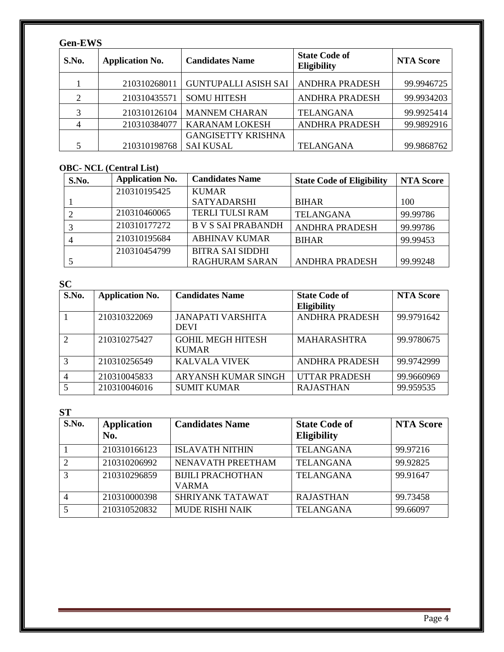## **Gen-EWS**

| S.No. | <b>Application No.</b> | <b>Candidates Name</b>      | <b>State Code of</b><br><b>Eligibility</b> | <b>NTA Score</b> |
|-------|------------------------|-----------------------------|--------------------------------------------|------------------|
|       | 210310268011           | <b>GUNTUPALLI ASISH SAI</b> | <b>ANDHRA PRADESH</b>                      | 99.9946725       |
| 2     | 210310435571           | <b>SOMU HITESH</b>          | <b>ANDHRA PRADESH</b>                      | 99.9934203       |
| 3     | 210310126104           | <b>MANNEM CHARAN</b>        | <b>TELANGANA</b>                           | 99.9925414       |
|       | 210310384077           | <b>KARANAM LOKESH</b>       | <b>ANDHRA PRADESH</b>                      | 99.9892916       |
|       |                        | <b>GANGISETTY KRISHNA</b>   |                                            |                  |
|       | 210310198768           | <b>SAI KUSAL</b>            | <b>TELANGANA</b>                           | 99.9868762       |

## **OBC- NCL (Central List)**

| S.No. | <b>Application No.</b> | <b>Candidates Name</b>    | <b>State Code of Eligibility</b> | <b>NTA Score</b> |
|-------|------------------------|---------------------------|----------------------------------|------------------|
|       | 210310195425           | <b>KUMAR</b>              |                                  |                  |
|       |                        | <b>SATYADARSHI</b>        | <b>BIHAR</b>                     | 100              |
|       | 210310460065           | <b>TERLI TULSI RAM</b>    | <b>TELANGANA</b>                 | 99.99786         |
|       | 210310177272           | <b>B V S SAI PRABANDH</b> | <b>ANDHRA PRADESH</b>            | 99.99786         |
|       | 210310195684           | <b>ABHINAV KUMAR</b>      | <b>BIHAR</b>                     | 99.99453         |
|       | 210310454799           | <b>BITRA SAI SIDDHI</b>   |                                  |                  |
|       |                        | <b>RAGHURAM SARAN</b>     | <b>ANDHRA PRADESH</b>            | 99.99248         |

| <b>SC</b>     |                        |                                          |                                            |                  |
|---------------|------------------------|------------------------------------------|--------------------------------------------|------------------|
| S.No.         | <b>Application No.</b> | <b>Candidates Name</b>                   | <b>State Code of</b><br><b>Eligibility</b> | <b>NTA Score</b> |
|               | 210310322069           | <b>JANAPATI VARSHITA</b><br><b>DEVI</b>  | <b>ANDHRA PRADESH</b>                      | 99.9791642       |
| $\mathcal{D}$ | 210310275427           | <b>GOHIL MEGH HITESH</b><br><b>KUMAR</b> | <b>MAHARASHTRA</b>                         | 99.9780675       |
| $\mathcal{R}$ | 210310256549           | KALVALA VIVEK                            | <b>ANDHRA PRADESH</b>                      | 99.9742999       |
|               | 210310045833           | <b>ARYANSH KUMAR SINGH</b>               | <b>UTTAR PRADESH</b>                       | 99.9660969       |
|               | 210310046016           | <b>SUMIT KUMAR</b>                       | <b>RAJASTHAN</b>                           | 99.959535        |

**ST**

| 0 L           |                           |                                          |                                     |                  |
|---------------|---------------------------|------------------------------------------|-------------------------------------|------------------|
| S.No.         | <b>Application</b><br>No. | <b>Candidates Name</b>                   | <b>State Code of</b><br>Eligibility | <b>NTA Score</b> |
|               | 210310166123              | <b>ISLAVATH NITHIN</b>                   | <b>TELANGANA</b>                    | 99.97216         |
|               | 210310206992              | NENAVATH PREETHAM                        | <b>TELANGANA</b>                    | 99.92825         |
| $\mathcal{R}$ | 210310296859              | <b>BIJILI PRACHOTHAN</b><br><b>VARMA</b> | <b>TELANGANA</b>                    | 99.91647         |
|               | 210310000398              | SHRIYANK TATAWAT                         | <b>RAJASTHAN</b>                    | 99.73458         |
|               | 210310520832              | <b>MUDE RISHI NAIK</b>                   | <b>TELANGANA</b>                    | 99.66097         |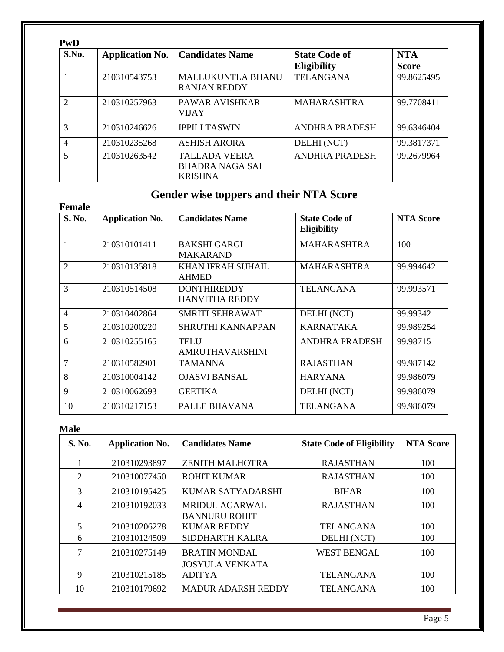| PwD                         |                        |                                                                  |                                     |                            |
|-----------------------------|------------------------|------------------------------------------------------------------|-------------------------------------|----------------------------|
| S.No.                       | <b>Application No.</b> | <b>Candidates Name</b>                                           | <b>State Code of</b><br>Eligibility | <b>NTA</b><br><b>Score</b> |
|                             | 210310543753           | <b>MALLUKUNTLA BHANU</b><br><b>RANJAN REDDY</b>                  | <b>TELANGANA</b>                    | 99.8625495                 |
| $\mathcal{D}_{\mathcal{L}}$ | 210310257963           | <b>PAWAR AVISHKAR</b><br><b>VIJAY</b>                            | <b>MAHARASHTRA</b>                  | 99.7708411                 |
| 3                           | 210310246626           | <b>IPPILI TASWIN</b>                                             | <b>ANDHRA PRADESH</b>               | 99.6346404                 |
| $\overline{4}$              | 210310235268           | <b>ASHISH ARORA</b>                                              | DELHI (NCT)                         | 99.3817371                 |
| $\overline{5}$              | 210310263542           | <b>TALLADA VEERA</b><br><b>BHADRA NAGA SAI</b><br><b>KRISHNA</b> | <b>ANDHRA PRADESH</b>               | 99.2679964                 |

# **Gender wise toppers and their NTA Score**

| <b>Female</b>  |                        |                                             |                                     |                  |
|----------------|------------------------|---------------------------------------------|-------------------------------------|------------------|
| S. No.         | <b>Application No.</b> | <b>Candidates Name</b>                      | <b>State Code of</b><br>Eligibility | <b>NTA Score</b> |
| 1              | 210310101411           | <b>BAKSHI GARGI</b><br><b>MAKARAND</b>      | <b>MAHARASHTRA</b>                  | 100              |
| $\overline{2}$ | 210310135818           | <b>KHAN IFRAH SUHAIL</b><br><b>AHMED</b>    | <b>MAHARASHTRA</b>                  | 99.994642        |
| 3              | 210310514508           | <b>DONTHIREDDY</b><br><b>HANVITHA REDDY</b> | <b>TELANGANA</b>                    | 99.993571        |
| $\overline{4}$ | 210310402864           | SMRITI SEHRAWAT                             | DELHI (NCT)                         | 99.99342         |
| 5              | 210310200220           | SHRUTHI KANNAPPAN                           | <b>KARNATAKA</b>                    | 99.989254        |
| 6              | 210310255165           | <b>TELU</b><br><b>AMRUTHAVARSHINI</b>       | ANDHRA PRADESH                      | 99.98715         |
| $\overline{7}$ | 210310582901           | <b>TAMANNA</b>                              | <b>RAJASTHAN</b>                    | 99.987142        |
| 8              | 210310004142           | <b>OJASVI BANSAL</b>                        | <b>HARYANA</b>                      | 99.986079        |
| 9              | 210310062693           | <b>GEETIKA</b>                              | DELHI (NCT)                         | 99.986079        |
| 10             | 210310217153           | PALLE BHAVANA                               | <b>TELANGANA</b>                    | 99.986079        |

## **Male**

| S. No. | <b>Application No.</b> | <b>Candidates Name</b>    | <b>State Code of Eligibility</b> | <b>NTA Score</b> |
|--------|------------------------|---------------------------|----------------------------------|------------------|
|        | 210310293897           | <b>ZENITH MALHOTRA</b>    | <b>RAJASTHAN</b>                 | 100              |
| 2      | 210310077450           | <b>ROHIT KUMAR</b>        | <b>RAJASTHAN</b>                 | 100              |
| 3      | 210310195425           | KUMAR SATYADARSHI         | <b>BIHAR</b>                     | 100              |
| 4      | 210310192033           | <b>MRIDUL AGARWAL</b>     | <b>RAJASTHAN</b>                 | 100              |
|        |                        | <b>BANNURU ROHIT</b>      |                                  |                  |
| 5      | 210310206278           | <b>KUMAR REDDY</b>        | <b>TELANGANA</b>                 | 100              |
| 6      | 210310124509           | SIDDHARTH KALRA           | DELHI (NCT)                      | 100              |
| 7      | 210310275149           | <b>BRATIN MONDAL</b>      | <b>WEST BENGAL</b>               | 100              |
|        |                        | <b>JOSYULA VENKATA</b>    |                                  |                  |
| 9      | 210310215185           | <b>ADITYA</b>             | <b>TELANGANA</b>                 | 100              |
| 10     | 210310179692           | <b>MADUR ADARSH REDDY</b> | <b>TELANGANA</b>                 | 100              |